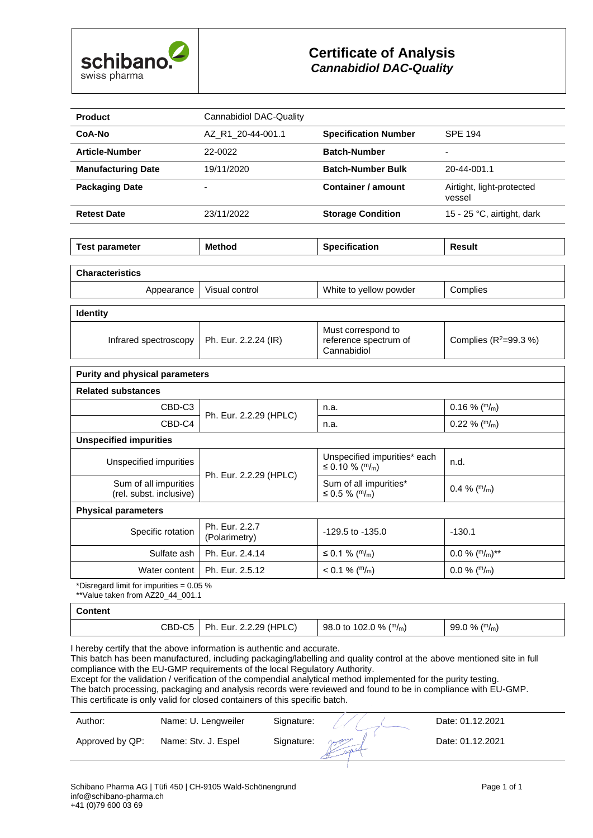

| <b>Product</b>                                   | <b>Cannabidiol DAC-Quality</b>  |                                                            |                                     |
|--------------------------------------------------|---------------------------------|------------------------------------------------------------|-------------------------------------|
| CoA-No                                           | AZ_R1_20-44-001.1               | <b>Specification Number</b>                                | <b>SPE 194</b>                      |
| <b>Article-Number</b>                            | 22-0022                         | <b>Batch-Number</b>                                        | $\blacksquare$                      |
| <b>Manufacturing Date</b>                        | 19/11/2020                      | <b>Batch-Number Bulk</b>                                   | 20-44-001.1                         |
| <b>Packaging Date</b>                            |                                 | <b>Container / amount</b>                                  | Airtight, light-protected<br>vessel |
| <b>Retest Date</b>                               | 23/11/2022                      | <b>Storage Condition</b>                                   | 15 - 25 °C, airtight, dark          |
|                                                  |                                 |                                                            |                                     |
| <b>Test parameter</b>                            | <b>Method</b>                   | <b>Specification</b>                                       | <b>Result</b>                       |
| <b>Characteristics</b>                           |                                 |                                                            |                                     |
| Appearance                                       | Visual control                  | White to yellow powder                                     | Complies                            |
| <b>Identity</b>                                  |                                 |                                                            |                                     |
| Infrared spectroscopy                            | Ph. Eur. 2.2.24 (IR)            | Must correspond to<br>reference spectrum of<br>Cannabidiol | Complies $(R^2=99.3\%)$             |
| <b>Purity and physical parameters</b>            |                                 |                                                            |                                     |
| <b>Related substances</b>                        |                                 |                                                            |                                     |
| CBD-C3                                           |                                 | n.a.                                                       | $0.16\%$ ( $m/m$ )                  |
| CBD-C4                                           | Ph. Eur. 2.2.29 (HPLC)          | n.a.                                                       | $0.22 \%$ (m/m)                     |
| <b>Unspecified impurities</b>                    |                                 |                                                            |                                     |
| Unspecified impurities                           |                                 | Unspecified impurities* each<br>≤ 0.10 % ( $m/m$ )         | n.d.                                |
| Sum of all impurities<br>(rel. subst. inclusive) | Ph. Eur. 2.2.29 (HPLC)          | Sum of all impurities*<br>≤ 0.5 % ( $m/m$ )                | 0.4 % $(\frac{m}{m})$               |
| <b>Physical parameters</b>                       |                                 |                                                            |                                     |
| Specific rotation                                | Ph. Eur. 2.2.7<br>(Polarimetry) | $-129.5$ to $-135.0$                                       | $-130.1$                            |
| Sulfate ash                                      | Ph. Eur. 2.4.14                 | ≤ 0.1 % ( $m/m$ )                                          | $0.0\%$ (m/m)**                     |
| Water content                                    | Ph. Eur. 2.5.12                 | $< 0.1 \%$ (m/m)                                           | $0.0\%$ ( $m/m$ )                   |
| *Disregard limit for impurities = 0.05 %         |                                 |                                                            |                                     |

 $*$ Yalue taken from AZ20 44 001.1

#### **Content**

| (HPL<br>CBD-0<br>oc<br>-ur<br><b>Dh</b><br>◡<br>ື<br>. | (m/m)<br>$^{\circ}$ 0 % .<br>98.0 to<br>102.0 | $\mu$ m/m<br>$-99.0$<br>丶% . |
|--------------------------------------------------------|-----------------------------------------------|------------------------------|
|--------------------------------------------------------|-----------------------------------------------|------------------------------|

I hereby certify that the above information is authentic and accurate.

This batch has been manufactured, including packaging/labelling and quality control at the above mentioned site in full compliance with the EU-GMP requirements of the local Regulatory Authority.

Except for the validation / verification of the compendial analytical method implemented for the purity testing. The batch processing, packaging and analysis records were reviewed and found to be in compliance with EU-GMP. This certificate is only valid for closed containers of this specific batch.

| Approved by QP:<br>Date: 01.12.2021<br>Name: Stv. J. Espel<br>Signature:<br>som | Author: | Name: U. Lengweiler | Signature: | Date: 01.12.2021 |
|---------------------------------------------------------------------------------|---------|---------------------|------------|------------------|
|                                                                                 |         |                     |            |                  |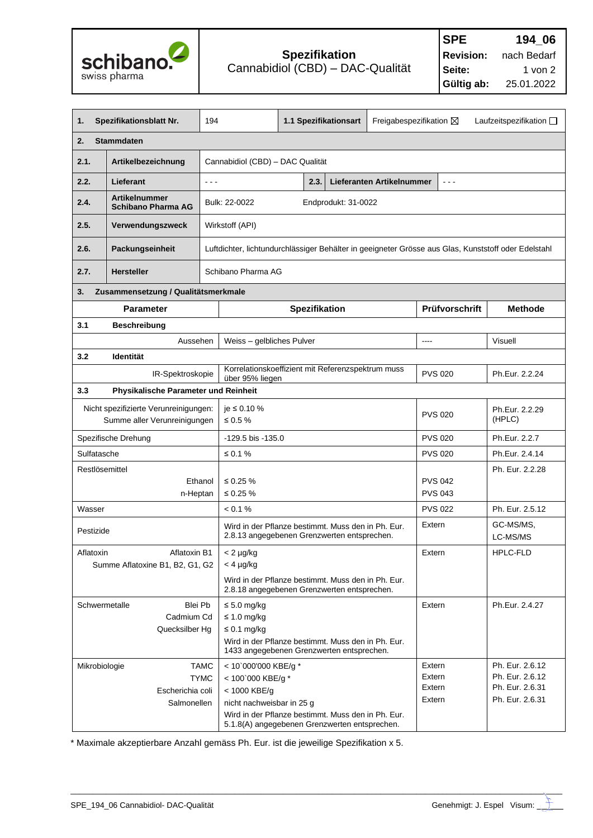

| 1.                                                                                                                                                                                                      | Spezifikationsblatt Nr.                           | 194                                                      |                                                                        | 1.1 Spezifikationsart                                                                               |                           | Freigabespezifikation $\boxtimes$    | Laufzeitspezifikation $\square$                                                                     |
|---------------------------------------------------------------------------------------------------------------------------------------------------------------------------------------------------------|---------------------------------------------------|----------------------------------------------------------|------------------------------------------------------------------------|-----------------------------------------------------------------------------------------------------|---------------------------|--------------------------------------|-----------------------------------------------------------------------------------------------------|
| <b>Stammdaten</b><br>2.                                                                                                                                                                                 |                                                   |                                                          |                                                                        |                                                                                                     |                           |                                      |                                                                                                     |
| 2.1.                                                                                                                                                                                                    | Artikelbezeichnung                                |                                                          | Cannabidiol (CBD) - DAC Qualität                                       |                                                                                                     |                           |                                      |                                                                                                     |
| 2.2.                                                                                                                                                                                                    | Lieferant                                         | $\sim$ $\sim$ $\sim$                                     |                                                                        | 2.3.                                                                                                | Lieferanten Artikelnummer | $\sim$ $\sim$ $\sim$                 |                                                                                                     |
| 2.4.                                                                                                                                                                                                    | <b>Artikelnummer</b><br><b>Schibano Pharma AG</b> | Bulk: 22-0022                                            |                                                                        | Endprodukt: 31-0022                                                                                 |                           |                                      |                                                                                                     |
| 2.5.                                                                                                                                                                                                    | Verwendungszweck                                  | Wirkstoff (API)                                          |                                                                        |                                                                                                     |                           |                                      |                                                                                                     |
| 2.6.                                                                                                                                                                                                    | Packungseinheit                                   |                                                          |                                                                        |                                                                                                     |                           |                                      | Luftdichter, lichtundurchlässiger Behälter in geeigneter Grösse aus Glas, Kunststoff oder Edelstahl |
| 2.7.                                                                                                                                                                                                    | <b>Hersteller</b>                                 | Schibano Pharma AG                                       |                                                                        |                                                                                                     |                           |                                      |                                                                                                     |
| 3.                                                                                                                                                                                                      | Zusammensetzung / Qualitätsmerkmale               |                                                          |                                                                        |                                                                                                     |                           |                                      |                                                                                                     |
|                                                                                                                                                                                                         | <b>Parameter</b>                                  |                                                          |                                                                        | Spezifikation                                                                                       |                           | Prüfvorschrift                       | <b>Methode</b>                                                                                      |
| 3.1                                                                                                                                                                                                     | <b>Beschreibung</b>                               |                                                          |                                                                        |                                                                                                     |                           |                                      |                                                                                                     |
|                                                                                                                                                                                                         | Aussehen                                          |                                                          | Weiss - gelbliches Pulver                                              |                                                                                                     |                           | $\frac{1}{2}$                        | Visuell                                                                                             |
| 3.2                                                                                                                                                                                                     | Identität                                         |                                                          |                                                                        |                                                                                                     |                           |                                      |                                                                                                     |
|                                                                                                                                                                                                         | IR-Spektroskopie                                  |                                                          | über 95% liegen                                                        | Korrelationskoeffizient mit Referenzspektrum muss                                                   |                           | <b>PVS 020</b>                       | Ph.Eur. 2.2.24                                                                                      |
| 3.3                                                                                                                                                                                                     | Physikalische Parameter und Reinheit              |                                                          |                                                                        |                                                                                                     |                           |                                      |                                                                                                     |
| Nicht spezifizierte Verunreinigungen:<br>Summe aller Verunreinigungen                                                                                                                                   |                                                   |                                                          | $ie$ ≤ 0.10 %<br>$\leq 0.5 \%$                                         |                                                                                                     | <b>PVS 020</b>            | Ph.Eur. 2.2.29<br>(HPLC)             |                                                                                                     |
| Spezifische Drehung<br>-129.5 bis -135.0                                                                                                                                                                |                                                   |                                                          | <b>PVS 020</b>                                                         | Ph.Eur. 2.2.7                                                                                       |                           |                                      |                                                                                                     |
| Sulfatasche<br>≤ 0.1 $%$                                                                                                                                                                                |                                                   | <b>PVS 020</b>                                           | Ph.Eur. 2.4.14                                                         |                                                                                                     |                           |                                      |                                                                                                     |
| Restlösemittel<br>Ethanol<br>≤ 0.25 $%$<br>n-Heptan<br>≤ 0.25 $%$                                                                                                                                       |                                                   |                                                          | <b>PVS 042</b><br><b>PVS 043</b>                                       | Ph. Eur. 2.2.28                                                                                     |                           |                                      |                                                                                                     |
| Wasser                                                                                                                                                                                                  |                                                   | < 0.1 %                                                  |                                                                        |                                                                                                     |                           | <b>PVS 022</b>                       | Ph. Eur. 2.5.12                                                                                     |
| Wird in der Pflanze bestimmt. Muss den in Ph. Eur.<br>Pestizide<br>2.8.13 angegebenen Grenzwerten entsprechen.                                                                                          |                                                   |                                                          | Extern                                                                 | GC-MS/MS,<br>LC-MS/MS                                                                               |                           |                                      |                                                                                                     |
| Aflatoxin B1<br>$< 2 \mu g/kg$<br>Aflatoxin<br>Summe Aflatoxine B1, B2, G1, G2<br>$<$ 4 $\mu$ g/kg<br>Wird in der Pflanze bestimmt. Muss den in Ph. Eur.<br>2.8.18 angegebenen Grenzwerten entsprechen. |                                                   |                                                          | Extern                                                                 | HPLC-FLD                                                                                            |                           |                                      |                                                                                                     |
| Schwermetalle                                                                                                                                                                                           | Blei Pb<br>Cadmium Cd<br>Quecksilber Hg           | $\leq 5.0$ mg/kg<br>$\leq 1.0$ mg/kg<br>$\leq$ 0.1 mg/kg |                                                                        | Wird in der Pflanze bestimmt. Muss den in Ph. Eur.<br>1433 angegebenen Grenzwerten entsprechen.     |                           | Extern                               | Ph.Eur. 2.4.27                                                                                      |
| Mikrobiologie                                                                                                                                                                                           | Escherichia coli<br>Salmonellen                   | <b>TAMC</b><br><b>TYMC</b><br>< 1000 KBE/g               | < 10`000'000 KBE/g *<br>< 100`000 KBE/g *<br>nicht nachweisbar in 25 g | Wird in der Pflanze bestimmt. Muss den in Ph. Eur.<br>5.1.8(A) angegebenen Grenzwerten entsprechen. |                           | Extern<br>Extern<br>Extern<br>Extern | Ph. Eur. 2.6.12<br>Ph. Eur. 2.6.12<br>Ph. Eur. 2.6.31<br>Ph. Eur. 2.6.31                            |

\* Maximale akzeptierbare Anzahl gemäss Ph. Eur. ist die jeweilige Spezifikation x 5.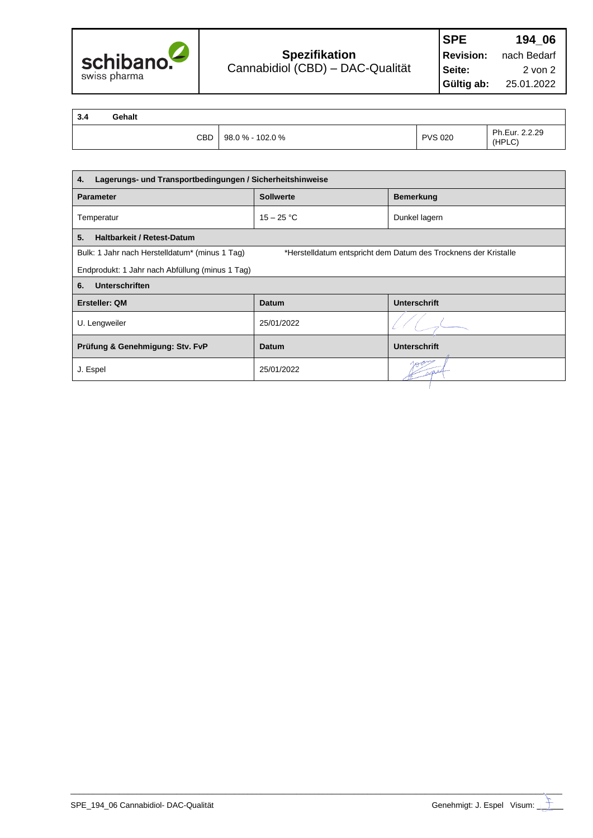

| 3.4 | Gehalt     |                  |                |                          |
|-----|------------|------------------|----------------|--------------------------|
|     | <b>CBD</b> | 98.0 % - 102.0 % | <b>PVS 020</b> | Ph.Eur. 2.2.29<br>(HPLC) |

| Lagerungs- und Transportbedingungen / Sicherheitshinweise<br>4. |                                                                 |                     |  |  |  |
|-----------------------------------------------------------------|-----------------------------------------------------------------|---------------------|--|--|--|
| <b>Sollwerte</b><br><b>Bemerkung</b><br><b>Parameter</b>        |                                                                 |                     |  |  |  |
| Temperatur                                                      | $15 - 25 °C$                                                    | Dunkel lagern       |  |  |  |
| 5.<br><b>Haltbarkeit / Retest-Datum</b>                         |                                                                 |                     |  |  |  |
| Bulk: 1 Jahr nach Herstelldatum* (minus 1 Tag)                  | *Herstelldatum entspricht dem Datum des Trocknens der Kristalle |                     |  |  |  |
| Endprodukt: 1 Jahr nach Abfüllung (minus 1 Tag)                 |                                                                 |                     |  |  |  |
| Unterschriften<br>6.                                            |                                                                 |                     |  |  |  |
| Ersteller: QM                                                   | Datum                                                           | <b>Unterschrift</b> |  |  |  |
| U. Lengweiler                                                   | 25/01/2022                                                      |                     |  |  |  |
| Prüfung & Genehmigung: Stv. FvP                                 | Datum                                                           | <b>Unterschrift</b> |  |  |  |
| J. Espel                                                        | 25/01/2022                                                      |                     |  |  |  |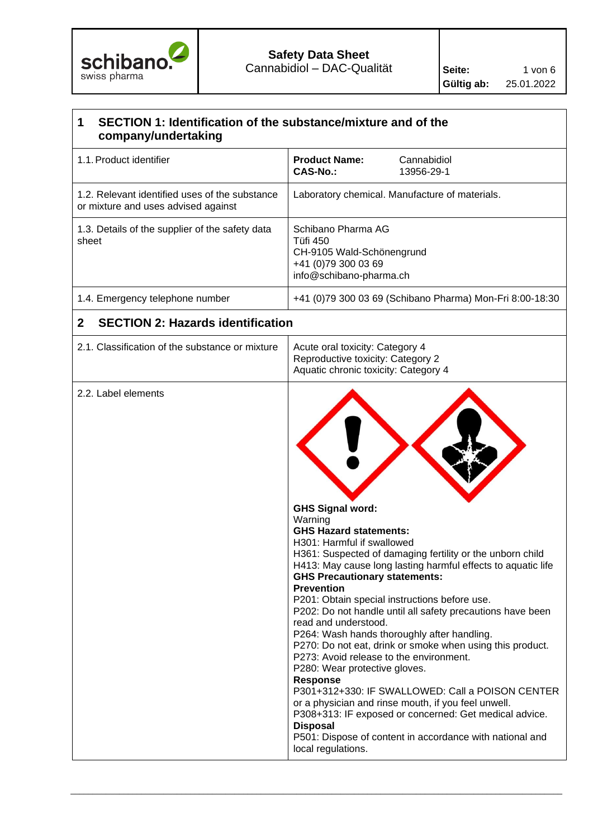

# **1 SECTION 1: Identification of the substance/mixture and of the company/undertaking**  1.1.Product identifier **Product Name:** Cannabidiol **CAS-No.:** 13956-29-1 1.2. Relevant identified uses of the substance or mixture and uses advised against Laboratory chemical. Manufacture of materials. 1.3. Details of the supplier of the safety data sheet Schibano Pharma AG Tüfi 450 CH-9105 Wald-Schönengrund +41 (0)79 300 03 69 info@schibano-pharma.ch 1.4. Emergency telephone number +41 (0)79 300 03 69 (Schibano Pharma) Mon-Fri 8:00-18:30 **2 SECTION 2: Hazards identification**  2.1. Classification of the substance or mixture  $\parallel$  Acute oral toxicity: Category 4 Reproductive toxicity: Category 2 Aquatic chronic toxicity: Category 4 2.2. Label elements **GHS Signal word:**  Warning **GHS Hazard statements:** H301: Harmful if swallowed H361: Suspected of damaging fertility or the unborn child H413: May cause long lasting harmful effects to aquatic life **GHS Precautionary statements: Prevention** P201: Obtain special instructions before use. P202: Do not handle until all safety precautions have been read and understood. P264: Wash hands thoroughly after handling. P270: Do not eat, drink or smoke when using this product. P273: Avoid release to the environment. P280: Wear protective gloves. **Response** P301+312+330: IF SWALLOWED: Call a POISON CENTER or a physician and rinse mouth, if you feel unwell. P308+313: IF exposed or concerned: Get medical advice. **Disposal** P501: Dispose of content in accordance with national and local regulations.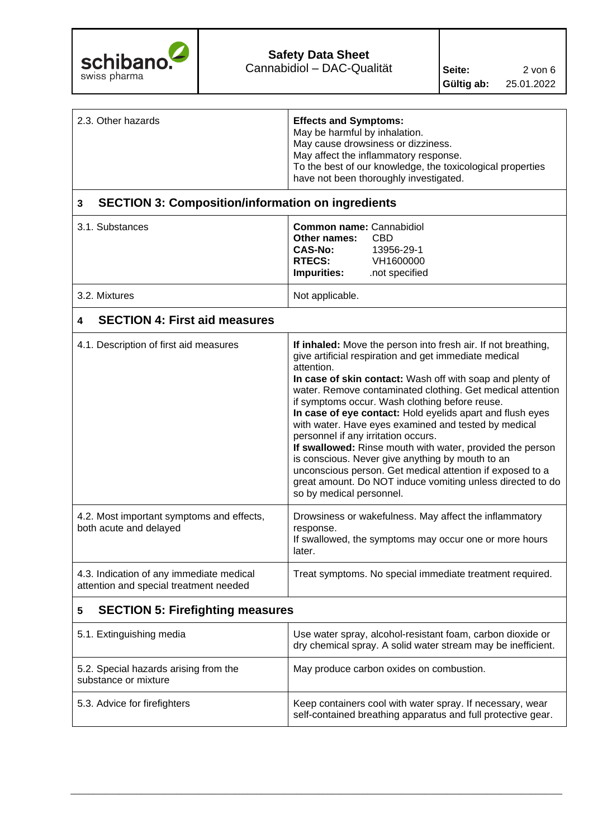

| 2.3. Other hazards | <b>Effects and Symptoms:</b><br>May be harmful by inhalation.<br>May cause drowsiness or dizziness.<br>May affect the inflammatory response.<br>To the best of our knowledge, the toxicological properties<br>have not been thoroughly investigated. |
|--------------------|------------------------------------------------------------------------------------------------------------------------------------------------------------------------------------------------------------------------------------------------------|
|                    |                                                                                                                                                                                                                                                      |

## **3 SECTION 3: Composition/information on ingredients**

| 3.1. Substances | <b>Common name: Cannabidiol</b><br>Other names:<br><b>CAS-No:</b><br><b>RTECS:</b><br><b>Impurities:</b> | - CBD<br>13956-29-1<br>VH1600000<br>not specified. |
|-----------------|----------------------------------------------------------------------------------------------------------|----------------------------------------------------|
| 3.2. Mixtures   | Not applicable.                                                                                          |                                                    |

## **4 SECTION 4: First aid measures**

| 4.1. Description of first aid measures                                             | If inhaled: Move the person into fresh air. If not breathing,<br>give artificial respiration and get immediate medical<br>attention.<br>In case of skin contact: Wash off with soap and plenty of<br>water. Remove contaminated clothing. Get medical attention<br>if symptoms occur. Wash clothing before reuse.<br>In case of eye contact: Hold eyelids apart and flush eyes<br>with water. Have eyes examined and tested by medical<br>personnel if any irritation occurs.<br>If swallowed: Rinse mouth with water, provided the person<br>is conscious. Never give anything by mouth to an<br>unconscious person. Get medical attention if exposed to a<br>great amount. Do NOT induce vomiting unless directed to do<br>so by medical personnel. |
|------------------------------------------------------------------------------------|-------------------------------------------------------------------------------------------------------------------------------------------------------------------------------------------------------------------------------------------------------------------------------------------------------------------------------------------------------------------------------------------------------------------------------------------------------------------------------------------------------------------------------------------------------------------------------------------------------------------------------------------------------------------------------------------------------------------------------------------------------|
| 4.2. Most important symptoms and effects,<br>both acute and delayed                | Drowsiness or wakefulness. May affect the inflammatory<br>response.<br>If swallowed, the symptoms may occur one or more hours<br>later.                                                                                                                                                                                                                                                                                                                                                                                                                                                                                                                                                                                                               |
| 4.3. Indication of any immediate medical<br>attention and special treatment needed | Treat symptoms. No special immediate treatment required.                                                                                                                                                                                                                                                                                                                                                                                                                                                                                                                                                                                                                                                                                              |

## **5 SECTION 5: Firefighting measures**

| 5.1. Extinguishing media                                      | Use water spray, alcohol-resistant foam, carbon dioxide or<br>dry chemical spray. A solid water stream may be inefficient. |
|---------------------------------------------------------------|----------------------------------------------------------------------------------------------------------------------------|
| 5.2. Special hazards arising from the<br>substance or mixture | May produce carbon oxides on combustion.                                                                                   |
| 5.3. Advice for firefighters                                  | Keep containers cool with water spray. If necessary, wear<br>self-contained breathing apparatus and full protective gear.  |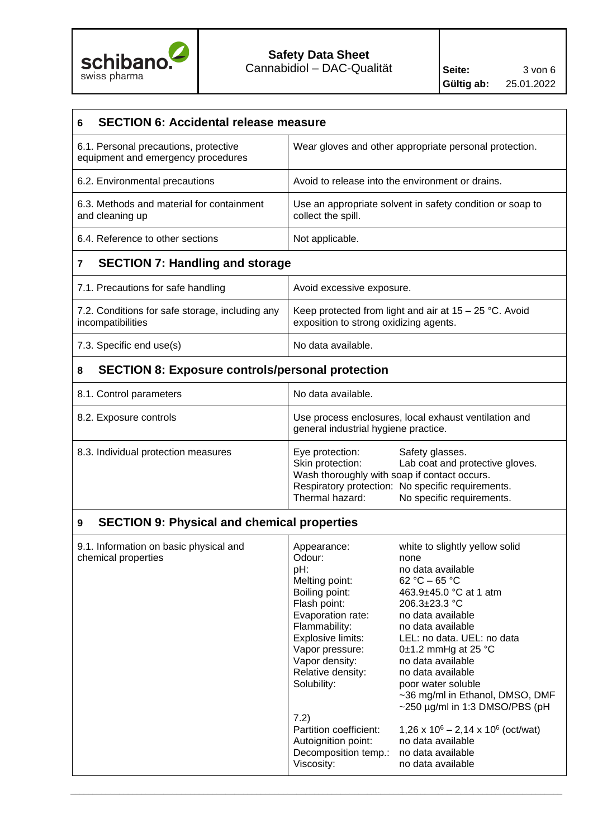

| <b>SECTION 6: Accidental release measure</b><br>6                           |                                                                                                                                                                                                                                                                                                                                                                                                                                                                                                                                                                                                                                                                                                                                                                                                                  |  |  |  |
|-----------------------------------------------------------------------------|------------------------------------------------------------------------------------------------------------------------------------------------------------------------------------------------------------------------------------------------------------------------------------------------------------------------------------------------------------------------------------------------------------------------------------------------------------------------------------------------------------------------------------------------------------------------------------------------------------------------------------------------------------------------------------------------------------------------------------------------------------------------------------------------------------------|--|--|--|
| 6.1. Personal precautions, protective<br>equipment and emergency procedures | Wear gloves and other appropriate personal protection.                                                                                                                                                                                                                                                                                                                                                                                                                                                                                                                                                                                                                                                                                                                                                           |  |  |  |
| 6.2. Environmental precautions                                              | Avoid to release into the environment or drains.                                                                                                                                                                                                                                                                                                                                                                                                                                                                                                                                                                                                                                                                                                                                                                 |  |  |  |
| 6.3. Methods and material for containment<br>and cleaning up                | Use an appropriate solvent in safety condition or soap to<br>collect the spill.                                                                                                                                                                                                                                                                                                                                                                                                                                                                                                                                                                                                                                                                                                                                  |  |  |  |
| 6.4. Reference to other sections                                            | Not applicable.                                                                                                                                                                                                                                                                                                                                                                                                                                                                                                                                                                                                                                                                                                                                                                                                  |  |  |  |
| <b>SECTION 7: Handling and storage</b><br>7                                 |                                                                                                                                                                                                                                                                                                                                                                                                                                                                                                                                                                                                                                                                                                                                                                                                                  |  |  |  |
| 7.1. Precautions for safe handling                                          | Avoid excessive exposure.                                                                                                                                                                                                                                                                                                                                                                                                                                                                                                                                                                                                                                                                                                                                                                                        |  |  |  |
| 7.2. Conditions for safe storage, including any<br>incompatibilities        | Keep protected from light and air at $15 - 25$ °C. Avoid<br>exposition to strong oxidizing agents.                                                                                                                                                                                                                                                                                                                                                                                                                                                                                                                                                                                                                                                                                                               |  |  |  |
| 7.3. Specific end use(s)                                                    | No data available.                                                                                                                                                                                                                                                                                                                                                                                                                                                                                                                                                                                                                                                                                                                                                                                               |  |  |  |
| <b>SECTION 8: Exposure controls/personal protection</b><br>8                |                                                                                                                                                                                                                                                                                                                                                                                                                                                                                                                                                                                                                                                                                                                                                                                                                  |  |  |  |
| 8.1. Control parameters                                                     | No data available.                                                                                                                                                                                                                                                                                                                                                                                                                                                                                                                                                                                                                                                                                                                                                                                               |  |  |  |
| 8.2. Exposure controls                                                      | Use process enclosures, local exhaust ventilation and<br>general industrial hygiene practice.                                                                                                                                                                                                                                                                                                                                                                                                                                                                                                                                                                                                                                                                                                                    |  |  |  |
| 8.3. Individual protection measures                                         | Eye protection:<br>Safety glasses.<br>Skin protection:<br>Lab coat and protective gloves.<br>Wash thoroughly with soap if contact occurs.<br>Respiratory protection: No specific requirements.<br>Thermal hazard:<br>No specific requirements.                                                                                                                                                                                                                                                                                                                                                                                                                                                                                                                                                                   |  |  |  |
| <b>SECTION 9: Physical and chemical properties</b><br>9                     |                                                                                                                                                                                                                                                                                                                                                                                                                                                                                                                                                                                                                                                                                                                                                                                                                  |  |  |  |
| 9.1. Information on basic physical and<br>chemical properties               | white to slightly yellow solid<br>Appearance:<br>Odour:<br>none<br>pH:<br>no data available<br>Melting point:<br>62 °C - 65 °C<br>Boiling point:<br>463.9±45.0 °C at 1 atm<br>Flash point:<br>206.3±23.3 °C<br>Evaporation rate:<br>no data available<br>Flammability:<br>no data available<br>Explosive limits:<br>LEL: no data. UEL: no data<br>Vapor pressure:<br>0 $\pm$ 1.2 mmHg at 25 °C<br>Vapor density:<br>no data available<br>Relative density:<br>no data available<br>Solubility:<br>poor water soluble<br>~36 mg/ml in Ethanol, DMSO, DMF<br>$\sim$ 250 µg/ml in 1:3 DMSO/PBS (pH<br>7.2)<br>Partition coefficient:<br>$1,26 \times 10^6 - 2,14 \times 10^6$ (oct/wat)<br>Autoignition point:<br>no data available<br>Decomposition temp.:<br>no data available<br>Viscosity:<br>no data available |  |  |  |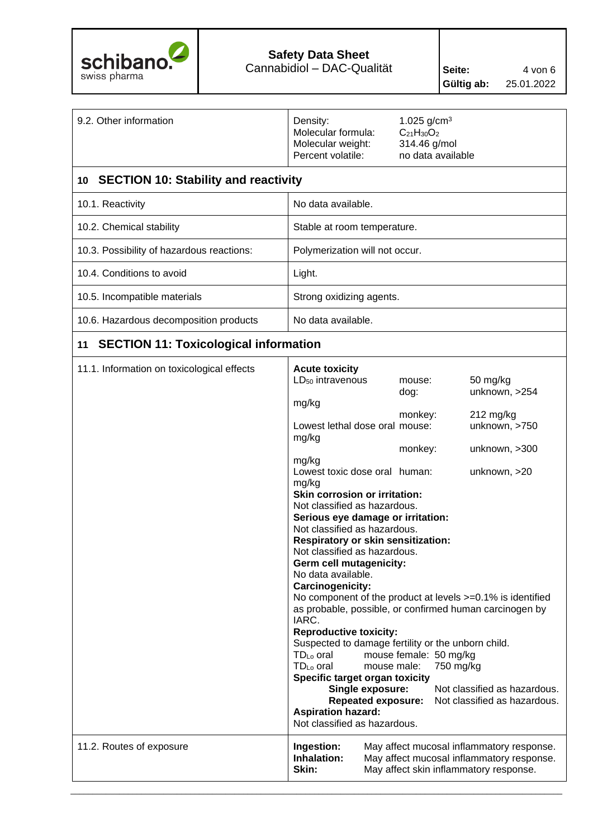

| 9.2. Other information                             | Density:<br>Molecular formula:<br>Molecular weight:<br>Percent volatile:                                                                                                                                                                                                                                                                                                                                                                                                                                                                                                                                                                                                                                                                                                                                                                                                                   | 1.025 $g/cm^{3}$<br>$C_{21}H_{30}O_2$<br>314.46 g/mol<br>no data available  |                                                                                                                                                            |  |  |
|----------------------------------------------------|--------------------------------------------------------------------------------------------------------------------------------------------------------------------------------------------------------------------------------------------------------------------------------------------------------------------------------------------------------------------------------------------------------------------------------------------------------------------------------------------------------------------------------------------------------------------------------------------------------------------------------------------------------------------------------------------------------------------------------------------------------------------------------------------------------------------------------------------------------------------------------------------|-----------------------------------------------------------------------------|------------------------------------------------------------------------------------------------------------------------------------------------------------|--|--|
| <b>SECTION 10: Stability and reactivity</b><br>10  |                                                                                                                                                                                                                                                                                                                                                                                                                                                                                                                                                                                                                                                                                                                                                                                                                                                                                            |                                                                             |                                                                                                                                                            |  |  |
| 10.1. Reactivity                                   | No data available.                                                                                                                                                                                                                                                                                                                                                                                                                                                                                                                                                                                                                                                                                                                                                                                                                                                                         |                                                                             |                                                                                                                                                            |  |  |
| 10.2. Chemical stability                           | Stable at room temperature.                                                                                                                                                                                                                                                                                                                                                                                                                                                                                                                                                                                                                                                                                                                                                                                                                                                                |                                                                             |                                                                                                                                                            |  |  |
| 10.3. Possibility of hazardous reactions:          | Polymerization will not occur.                                                                                                                                                                                                                                                                                                                                                                                                                                                                                                                                                                                                                                                                                                                                                                                                                                                             |                                                                             |                                                                                                                                                            |  |  |
| 10.4. Conditions to avoid                          | Light.                                                                                                                                                                                                                                                                                                                                                                                                                                                                                                                                                                                                                                                                                                                                                                                                                                                                                     |                                                                             |                                                                                                                                                            |  |  |
| 10.5. Incompatible materials                       | Strong oxidizing agents.                                                                                                                                                                                                                                                                                                                                                                                                                                                                                                                                                                                                                                                                                                                                                                                                                                                                   |                                                                             |                                                                                                                                                            |  |  |
| 10.6. Hazardous decomposition products             | No data available.                                                                                                                                                                                                                                                                                                                                                                                                                                                                                                                                                                                                                                                                                                                                                                                                                                                                         |                                                                             |                                                                                                                                                            |  |  |
| <b>SECTION 11: Toxicological information</b><br>11 |                                                                                                                                                                                                                                                                                                                                                                                                                                                                                                                                                                                                                                                                                                                                                                                                                                                                                            |                                                                             |                                                                                                                                                            |  |  |
| 11.1. Information on toxicological effects         | <b>Acute toxicity</b><br>LD <sub>50</sub> intravenous<br>mg/kg<br>Lowest lethal dose oral mouse:<br>mg/kg<br>mg/kg<br>Lowest toxic dose oral human:<br>mg/kg<br>Skin corrosion or irritation:<br>Not classified as hazardous.<br>Serious eye damage or irritation:<br>Not classified as hazardous.<br><b>Respiratory or skin sensitization:</b><br>Not classified as hazardous.<br>Germ cell mutagenicity:<br>No data available.<br>Carcinogenicity:<br>No component of the product at levels $>=0.1\%$ is identified<br>as probable, possible, or confirmed human carcinogen by<br>IARC.<br><b>Reproductive toxicity:</b><br>Suspected to damage fertility or the unborn child.<br>$TD_{Lo}$ oral<br>TD <sub>Lo</sub> oral<br>mouse male:<br>Specific target organ toxicity<br>Single exposure:<br><b>Repeated exposure:</b><br><b>Aspiration hazard:</b><br>Not classified as hazardous. | mouse:<br>dog:<br>monkey:<br>monkey:<br>mouse female: 50 mg/kg<br>750 mg/kg | 50 mg/kg<br>unknown, >254<br>$212$ mg/kg<br>unknown, >750<br>unknown, >300<br>unknown, >20<br>Not classified as hazardous.<br>Not classified as hazardous. |  |  |
| 11.2. Routes of exposure                           | Ingestion:<br>Inhalation:<br>Skin:                                                                                                                                                                                                                                                                                                                                                                                                                                                                                                                                                                                                                                                                                                                                                                                                                                                         |                                                                             | May affect mucosal inflammatory response.<br>May affect mucosal inflammatory response.<br>May affect skin inflammatory response.                           |  |  |
|                                                    |                                                                                                                                                                                                                                                                                                                                                                                                                                                                                                                                                                                                                                                                                                                                                                                                                                                                                            |                                                                             |                                                                                                                                                            |  |  |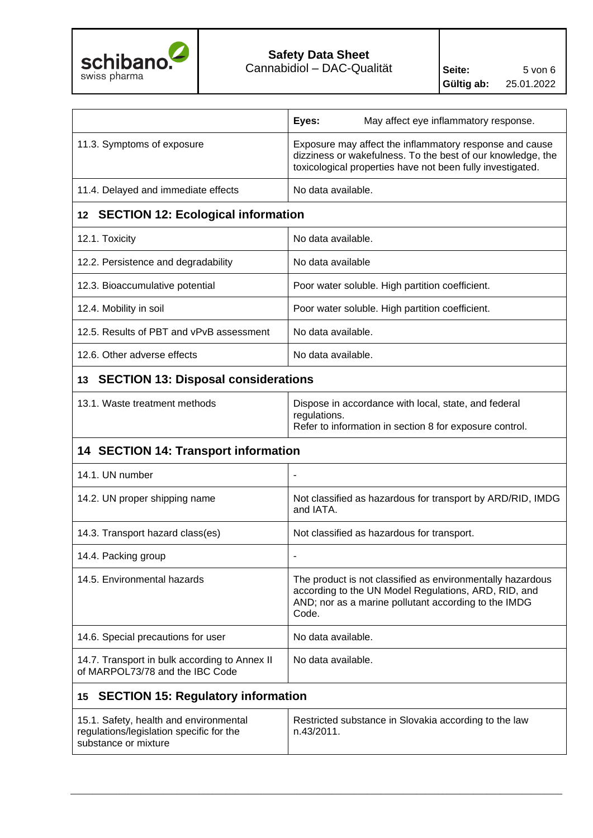

|                                                                                                            | Eyes:<br>May affect eye inflammatory response.                                                                                                                                       |  |
|------------------------------------------------------------------------------------------------------------|--------------------------------------------------------------------------------------------------------------------------------------------------------------------------------------|--|
| 11.3. Symptoms of exposure                                                                                 | Exposure may affect the inflammatory response and cause<br>dizziness or wakefulness. To the best of our knowledge, the<br>toxicological properties have not been fully investigated. |  |
| 11.4. Delayed and immediate effects                                                                        | No data available.                                                                                                                                                                   |  |
| 12 SECTION 12: Ecological information                                                                      |                                                                                                                                                                                      |  |
| 12.1. Toxicity                                                                                             | No data available.                                                                                                                                                                   |  |
| 12.2. Persistence and degradability                                                                        | No data available                                                                                                                                                                    |  |
| 12.3. Bioaccumulative potential                                                                            | Poor water soluble. High partition coefficient.                                                                                                                                      |  |
| 12.4. Mobility in soil                                                                                     | Poor water soluble. High partition coefficient.                                                                                                                                      |  |
| 12.5. Results of PBT and vPvB assessment                                                                   | No data available.                                                                                                                                                                   |  |
| 12.6. Other adverse effects                                                                                | No data available.                                                                                                                                                                   |  |
| 13 SECTION 13: Disposal considerations                                                                     |                                                                                                                                                                                      |  |
| 13.1. Waste treatment methods                                                                              | Dispose in accordance with local, state, and federal<br>regulations.<br>Refer to information in section 8 for exposure control.                                                      |  |
| 14 SECTION 14: Transport information                                                                       |                                                                                                                                                                                      |  |
| 14.1. UN number                                                                                            | $\blacksquare$                                                                                                                                                                       |  |
| 14.2. UN proper shipping name                                                                              | Not classified as hazardous for transport by ARD/RID, IMDG<br>and IATA.                                                                                                              |  |
| 14.3. Transport hazard class(es)                                                                           | Not classified as hazardous for transport.                                                                                                                                           |  |
| 14.4. Packing group                                                                                        |                                                                                                                                                                                      |  |
| 14.5. Environmental hazards                                                                                | The product is not classified as environmentally hazardous<br>according to the UN Model Regulations, ARD, RID, and<br>AND; nor as a marine pollutant according to the IMDG<br>Code.  |  |
| 14.6. Special precautions for user                                                                         | No data available.                                                                                                                                                                   |  |
| 14.7. Transport in bulk according to Annex II<br>of MARPOL73/78 and the IBC Code                           | No data available.                                                                                                                                                                   |  |
| <b>SECTION 15: Regulatory information</b><br>15                                                            |                                                                                                                                                                                      |  |
| 15.1. Safety, health and environmental<br>regulations/legislation specific for the<br>substance or mixture | Restricted substance in Slovakia according to the law<br>n.43/2011.                                                                                                                  |  |